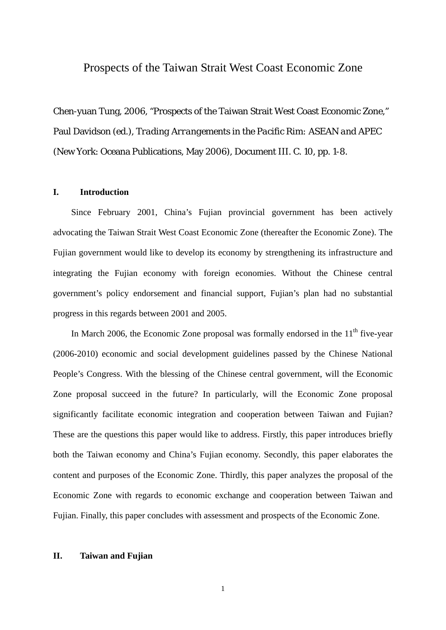# Prospects of the Taiwan Strait West Coast Economic Zone

Chen-yuan Tung, 2006, "Prospects of the Taiwan Strait West Coast Economic Zone," Paul Davidson (ed.), *Trading Arrangements in the Pacific Rim: ASEAN and APEC* (New York: Oceana Publications, May 2006), Document III. C. 10, pp. 1-8.

## **I. Introduction**

Since February 2001, China's Fujian provincial government has been actively advocating the Taiwan Strait West Coast Economic Zone (thereafter the Economic Zone). The Fujian government would like to develop its economy by strengthening its infrastructure and integrating the Fujian economy with foreign economies. Without the Chinese central government's policy endorsement and financial support, Fujian's plan had no substantial progress in this regards between 2001 and 2005.

In March 2006, the Economic Zone proposal was formally endorsed in the  $11<sup>th</sup>$  five-year (2006-2010) economic and social development guidelines passed by the Chinese National People's Congress. With the blessing of the Chinese central government, will the Economic Zone proposal succeed in the future? In particularly, will the Economic Zone proposal significantly facilitate economic integration and cooperation between Taiwan and Fujian? These are the questions this paper would like to address. Firstly, this paper introduces briefly both the Taiwan economy and China's Fujian economy. Secondly, this paper elaborates the content and purposes of the Economic Zone. Thirdly, this paper analyzes the proposal of the Economic Zone with regards to economic exchange and cooperation between Taiwan and Fujian. Finally, this paper concludes with assessment and prospects of the Economic Zone.

## **II. Taiwan and Fujian**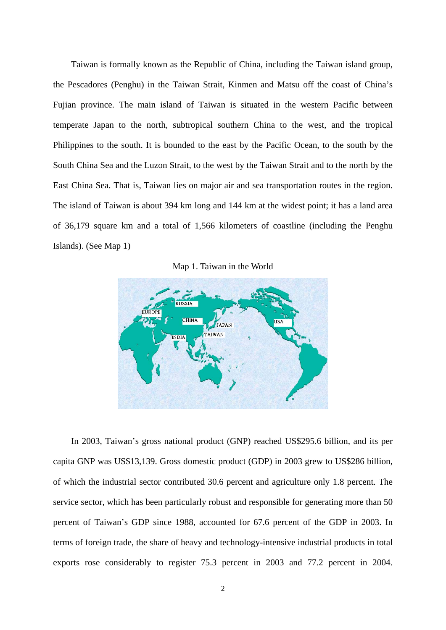Taiwan is formally known as the Republic of China, including the Taiwan island group, the Pescadores (Penghu) in the Taiwan Strait, Kinmen and Matsu off the coast of China's Fujian province. The main island of Taiwan is situated in the western Pacific between temperate Japan to the north, subtropical southern China to the west, and the tropical Philippines to the south. It is bounded to the east by the Pacific Ocean, to the south by the South China Sea and the Luzon Strait, to the west by the Taiwan Strait and to the north by the East China Sea. That is, Taiwan lies on major air and sea transportation routes in the region. The island of Taiwan is about 394 km long and 144 km at the widest point; it has a land area of 36,179 square km and a total of 1,566 kilometers of coastline (including the Penghu Islands). (See Map 1)

Map 1. Taiwan in the World



In 2003, Taiwan's gross national product (GNP) reached US\$295.6 billion, and its per capita GNP was US\$13,139. Gross domestic product (GDP) in 2003 grew to US\$286 billion, of which the industrial sector contributed 30.6 percent and agriculture only 1.8 percent. The service sector, which has been particularly robust and responsible for generating more than 50 percent of Taiwan's GDP since 1988, accounted for 67.6 percent of the GDP in 2003. In terms of foreign trade, the share of heavy and technology-intensive industrial products in total exports rose considerably to register 75.3 percent in 2003 and 77.2 percent in 2004.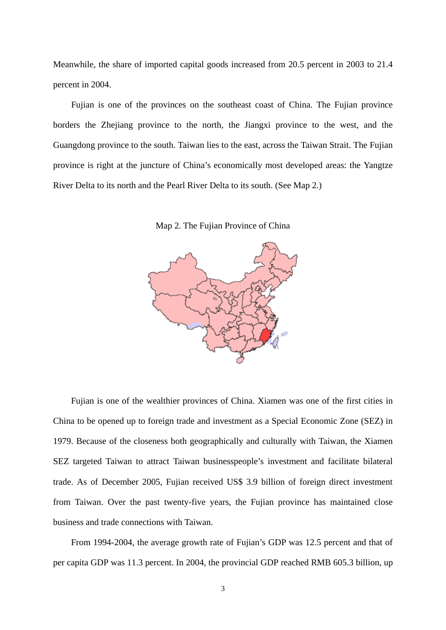Meanwhile, the share of imported capital goods increased from 20.5 percent in 2003 to 21.4 percent in 2004.

Fujian is one of the provinces on the southeast coast of China. The Fujian province borders the Zhejiang province to the north, the Jiangxi province to the west, and the Guangdong province to the south. Taiwan lies to the east, across the Taiwan Strait. The Fujian province is right at the juncture of China's economically most developed areas: the Yangtze River Delta to its north and the Pearl River Delta to its south. (See Map 2.)

Map 2. The Fujian Province of China



Fujian is one of the wealthier provinces of China. Xiamen was one of the first cities in China to be opened up to foreign trade and investment as a Special Economic Zone (SEZ) in 1979. Because of the closeness both geographically and culturally with Taiwan, the Xiamen SEZ targeted Taiwan to attract Taiwan businesspeople's investment and facilitate bilateral trade. As of December 2005, Fujian received US\$ 3.9 billion of foreign direct investment from Taiwan. Over the past twenty-five years, the Fujian province has maintained close business and trade connections with Taiwan.

From 1994-2004, the average growth rate of Fujian's GDP was 12.5 percent and that of per capita GDP was 11.3 percent. In 2004, the provincial GDP reached RMB 605.3 billion, up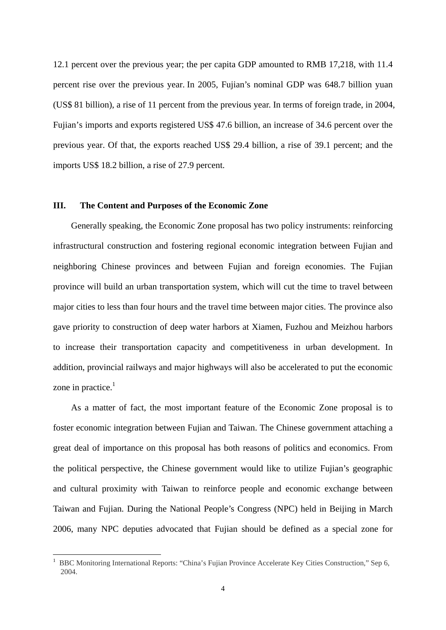12.1 percent over the previous year; the per capita GDP amounted to RMB 17,218, with 11.4 percent rise over the previous year. In 2005, Fujian's nominal GDP was 648.7 billion yuan (US\$ 81 billion), a rise of 11 percent from the previous year. In terms of foreign trade, in 2004, Fujian's imports and exports registered US\$ 47.6 billion, an increase of 34.6 percent over the previous year. Of that, the exports reached US\$ 29.4 billion, a rise of 39.1 percent; and the imports US\$ 18.2 billion, a rise of 27.9 percent.

#### **III. The Content and Purposes of the Economic Zone**

Generally speaking, the Economic Zone proposal has two policy instruments: reinforcing infrastructural construction and fostering regional economic integration between Fujian and neighboring Chinese provinces and between Fujian and foreign economies. The Fujian province will build an urban transportation system, which will cut the time to travel between major cities to less than four hours and the travel time between major cities. The province also gave priority to construction of deep water harbors at Xiamen, Fuzhou and Meizhou harbors to increase their transportation capacity and competitiveness in urban development. In addition, provincial railways and major highways will also be accelerated to put the economic zone in practice. $<sup>1</sup>$ </sup>

 As a matter of fact, the most important feature of the Economic Zone proposal is to foster economic integration between Fujian and Taiwan. The Chinese government attaching a great deal of importance on this proposal has both reasons of politics and economics. From the political perspective, the Chinese government would like to utilize Fujian's geographic and cultural proximity with Taiwan to reinforce people and economic exchange between Taiwan and Fujian. During the National People's Congress (NPC) held in Beijing in March 2006, many NPC deputies advocated that Fujian should be defined as a special zone for

<u>.</u>

<sup>&</sup>lt;sup>1</sup> BBC Monitoring International Reports: "China's Fujian Province Accelerate Key Cities Construction," Sep 6, 2004.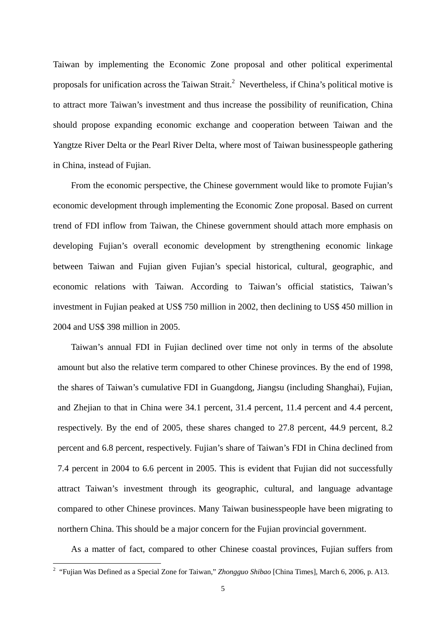Taiwan by implementing the Economic Zone proposal and other political experimental proposals for unification across the Taiwan Strait.<sup>2</sup> Nevertheless, if China's political motive is to attract more Taiwan's investment and thus increase the possibility of reunification, China should propose expanding economic exchange and cooperation between Taiwan and the Yangtze River Delta or the Pearl River Delta, where most of Taiwan businesspeople gathering in China, instead of Fujian.

 From the economic perspective, the Chinese government would like to promote Fujian's economic development through implementing the Economic Zone proposal. Based on current trend of FDI inflow from Taiwan, the Chinese government should attach more emphasis on developing Fujian's overall economic development by strengthening economic linkage between Taiwan and Fujian given Fujian's special historical, cultural, geographic, and economic relations with Taiwan. According to Taiwan's official statistics, Taiwan's investment in Fujian peaked at US\$ 750 million in 2002, then declining to US\$ 450 million in 2004 and US\$ 398 million in 2005.

Taiwan's annual FDI in Fujian declined over time not only in terms of the absolute amount but also the relative term compared to other Chinese provinces. By the end of 1998, the shares of Taiwan's cumulative FDI in Guangdong, Jiangsu (including Shanghai), Fujian, and Zhejian to that in China were 34.1 percent, 31.4 percent, 11.4 percent and 4.4 percent, respectively. By the end of 2005, these shares changed to 27.8 percent, 44.9 percent, 8.2 percent and 6.8 percent, respectively. Fujian's share of Taiwan's FDI in China declined from 7.4 percent in 2004 to 6.6 percent in 2005. This is evident that Fujian did not successfully attract Taiwan's investment through its geographic, cultural, and language advantage compared to other Chinese provinces. Many Taiwan businesspeople have been migrating to northern China. This should be a major concern for the Fujian provincial government.

As a matter of fact, compared to other Chinese coastal provinces, Fujian suffers from

 2 "Fujian Was Defined as a Special Zone for Taiwan," *Zhongguo Shibao* [China Times], March 6, 2006, p. A13.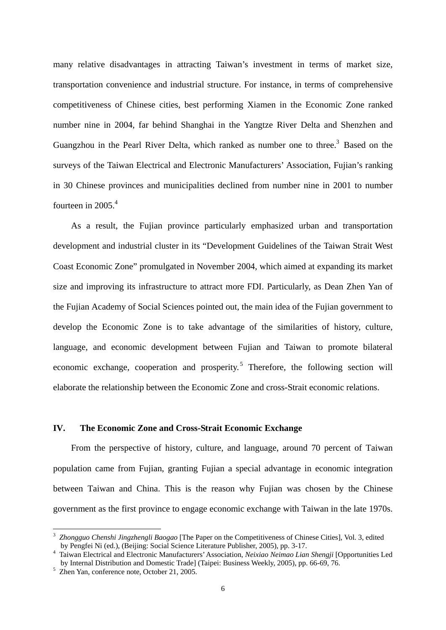many relative disadvantages in attracting Taiwan's investment in terms of market size, transportation convenience and industrial structure. For instance, in terms of comprehensive competitiveness of Chinese cities, best performing Xiamen in the Economic Zone ranked number nine in 2004, far behind Shanghai in the Yangtze River Delta and Shenzhen and Guangzhou in the Pearl River Delta, which ranked as number one to three.<sup>3</sup> Based on the surveys of the Taiwan Electrical and Electronic Manufacturers' Association, Fujian's ranking in 30 Chinese provinces and municipalities declined from number nine in 2001 to number fourteen in  $2005<sup>4</sup>$ 

 As a result, the Fujian province particularly emphasized urban and transportation development and industrial cluster in its "Development Guidelines of the Taiwan Strait West Coast Economic Zone" promulgated in November 2004, which aimed at expanding its market size and improving its infrastructure to attract more FDI. Particularly, as Dean Zhen Yan of the Fujian Academy of Social Sciences pointed out, the main idea of the Fujian government to develop the Economic Zone is to take advantage of the similarities of history, culture, language, and economic development between Fujian and Taiwan to promote bilateral economic exchange, cooperation and prosperity.<sup>5</sup> Therefore, the following section will elaborate the relationship between the Economic Zone and cross-Strait economic relations.

#### **IV. The Economic Zone and Cross-Strait Economic Exchange**

 From the perspective of history, culture, and language, around 70 percent of Taiwan population came from Fujian, granting Fujian a special advantage in economic integration between Taiwan and China. This is the reason why Fujian was chosen by the Chinese government as the first province to engage economic exchange with Taiwan in the late 1970s.

<u>.</u>

<sup>3</sup> *Zhongguo Chenshi Jingzhengli Baogao* [The Paper on the Competitiveness of Chinese Cities], Vol. 3, edited by Pengfei Ni (ed.), (Beijing: Social Science Literature Publisher, 2005), pp. 3-17. 4

Taiwan Electrical and Electronic Manufacturers' Association, *Neixiao Neimao Lian Shengji* [Opportunities Led by Internal Distribution and Domestic Tradel (Taipei: Business Weekly, 2005), pp. 66-69, 76.

 $5\text{ Zhen Yan.}$  conference note, October 21, 2005.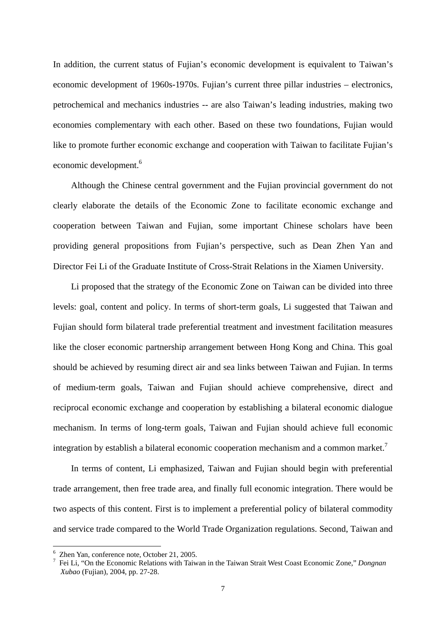In addition, the current status of Fujian's economic development is equivalent to Taiwan's economic development of 1960s-1970s. Fujian's current three pillar industries – electronics, petrochemical and mechanics industries -- are also Taiwan's leading industries, making two economies complementary with each other. Based on these two foundations, Fujian would like to promote further economic exchange and cooperation with Taiwan to facilitate Fujian's economic development.<sup>6</sup>

 Although the Chinese central government and the Fujian provincial government do not clearly elaborate the details of the Economic Zone to facilitate economic exchange and cooperation between Taiwan and Fujian, some important Chinese scholars have been providing general propositions from Fujian's perspective, such as Dean Zhen Yan and Director Fei Li of the Graduate Institute of Cross-Strait Relations in the Xiamen University.

 Li proposed that the strategy of the Economic Zone on Taiwan can be divided into three levels: goal, content and policy. In terms of short-term goals, Li suggested that Taiwan and Fujian should form bilateral trade preferential treatment and investment facilitation measures like the closer economic partnership arrangement between Hong Kong and China. This goal should be achieved by resuming direct air and sea links between Taiwan and Fujian. In terms of medium-term goals, Taiwan and Fujian should achieve comprehensive, direct and reciprocal economic exchange and cooperation by establishing a bilateral economic dialogue mechanism. In terms of long-term goals, Taiwan and Fujian should achieve full economic integration by establish a bilateral economic cooperation mechanism and a common market.<sup>7</sup>

 In terms of content, Li emphasized, Taiwan and Fujian should begin with preferential trade arrangement, then free trade area, and finally full economic integration. There would be two aspects of this content. First is to implement a preferential policy of bilateral commodity and service trade compared to the World Trade Organization regulations. Second, Taiwan and

1

<sup>6</sup> Zhen Yan, conference note, October 21, 2005.

<sup>7</sup> Fei Li, "On the Economic Relations with Taiwan in the Taiwan Strait West Coast Economic Zone," *Dongnan Xubao* (Fujian), 2004, pp. 27-28.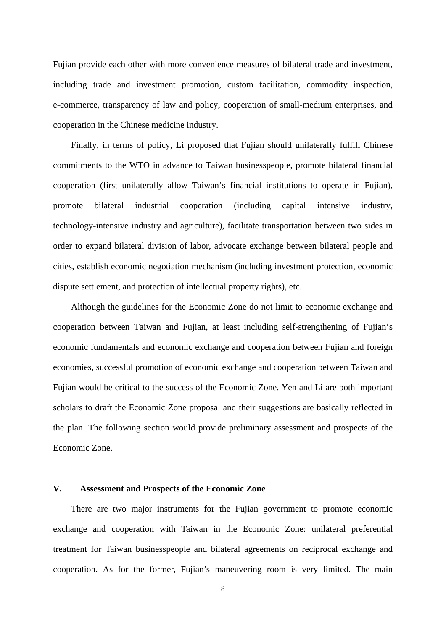Fujian provide each other with more convenience measures of bilateral trade and investment, including trade and investment promotion, custom facilitation, commodity inspection, e-commerce, transparency of law and policy, cooperation of small-medium enterprises, and cooperation in the Chinese medicine industry.

 Finally, in terms of policy, Li proposed that Fujian should unilaterally fulfill Chinese commitments to the WTO in advance to Taiwan businesspeople, promote bilateral financial cooperation (first unilaterally allow Taiwan's financial institutions to operate in Fujian), promote bilateral industrial cooperation (including capital intensive industry, technology-intensive industry and agriculture), facilitate transportation between two sides in order to expand bilateral division of labor, advocate exchange between bilateral people and cities, establish economic negotiation mechanism (including investment protection, economic dispute settlement, and protection of intellectual property rights), etc.

 Although the guidelines for the Economic Zone do not limit to economic exchange and cooperation between Taiwan and Fujian, at least including self-strengthening of Fujian's economic fundamentals and economic exchange and cooperation between Fujian and foreign economies, successful promotion of economic exchange and cooperation between Taiwan and Fujian would be critical to the success of the Economic Zone. Yen and Li are both important scholars to draft the Economic Zone proposal and their suggestions are basically reflected in the plan. The following section would provide preliminary assessment and prospects of the Economic Zone.

## **V. Assessment and Prospects of the Economic Zone**

There are two major instruments for the Fujian government to promote economic exchange and cooperation with Taiwan in the Economic Zone: unilateral preferential treatment for Taiwan businesspeople and bilateral agreements on reciprocal exchange and cooperation. As for the former, Fujian's maneuvering room is very limited. The main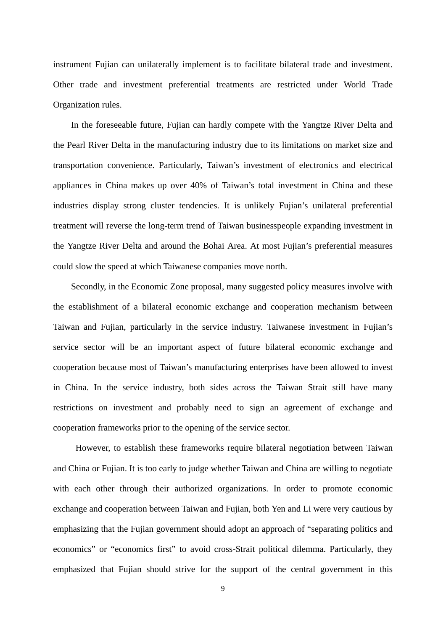instrument Fujian can unilaterally implement is to facilitate bilateral trade and investment. Other trade and investment preferential treatments are restricted under World Trade Organization rules.

In the foreseeable future, Fujian can hardly compete with the Yangtze River Delta and the Pearl River Delta in the manufacturing industry due to its limitations on market size and transportation convenience. Particularly, Taiwan's investment of electronics and electrical appliances in China makes up over 40% of Taiwan's total investment in China and these industries display strong cluster tendencies. It is unlikely Fujian's unilateral preferential treatment will reverse the long-term trend of Taiwan businesspeople expanding investment in the Yangtze River Delta and around the Bohai Area. At most Fujian's preferential measures could slow the speed at which Taiwanese companies move north.

Secondly, in the Economic Zone proposal, many suggested policy measures involve with the establishment of a bilateral economic exchange and cooperation mechanism between Taiwan and Fujian, particularly in the service industry. Taiwanese investment in Fujian's service sector will be an important aspect of future bilateral economic exchange and cooperation because most of Taiwan's manufacturing enterprises have been allowed to invest in China. In the service industry, both sides across the Taiwan Strait still have many restrictions on investment and probably need to sign an agreement of exchange and cooperation frameworks prior to the opening of the service sector.

However, to establish these frameworks require bilateral negotiation between Taiwan and China or Fujian. It is too early to judge whether Taiwan and China are willing to negotiate with each other through their authorized organizations. In order to promote economic exchange and cooperation between Taiwan and Fujian, both Yen and Li were very cautious by emphasizing that the Fujian government should adopt an approach of "separating politics and economics" or "economics first" to avoid cross-Strait political dilemma. Particularly, they emphasized that Fujian should strive for the support of the central government in this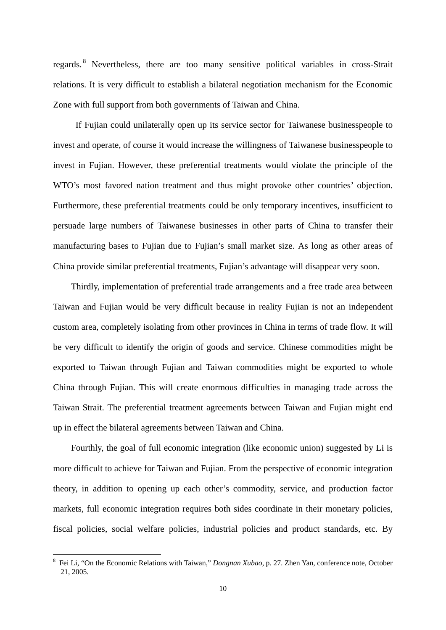regards. 8 Nevertheless, there are too many sensitive political variables in cross-Strait relations. It is very difficult to establish a bilateral negotiation mechanism for the Economic Zone with full support from both governments of Taiwan and China.

If Fujian could unilaterally open up its service sector for Taiwanese businesspeople to invest and operate, of course it would increase the willingness of Taiwanese businesspeople to invest in Fujian. However, these preferential treatments would violate the principle of the WTO's most favored nation treatment and thus might provoke other countries' objection. Furthermore, these preferential treatments could be only temporary incentives, insufficient to persuade large numbers of Taiwanese businesses in other parts of China to transfer their manufacturing bases to Fujian due to Fujian's small market size. As long as other areas of China provide similar preferential treatments, Fujian's advantage will disappear very soon.

Thirdly, implementation of preferential trade arrangements and a free trade area between Taiwan and Fujian would be very difficult because in reality Fujian is not an independent custom area, completely isolating from other provinces in China in terms of trade flow. It will be very difficult to identify the origin of goods and service. Chinese commodities might be exported to Taiwan through Fujian and Taiwan commodities might be exported to whole China through Fujian. This will create enormous difficulties in managing trade across the Taiwan Strait. The preferential treatment agreements between Taiwan and Fujian might end up in effect the bilateral agreements between Taiwan and China.

Fourthly, the goal of full economic integration (like economic union) suggested by Li is more difficult to achieve for Taiwan and Fujian. From the perspective of economic integration theory, in addition to opening up each other's commodity, service, and production factor markets, full economic integration requires both sides coordinate in their monetary policies, fiscal policies, social welfare policies, industrial policies and product standards, etc. By

<u>.</u>

<sup>8</sup> Fei Li, "On the Economic Relations with Taiwan," *Dongnan Xubao*, p. 27. Zhen Yan, conference note, October 21, 2005.